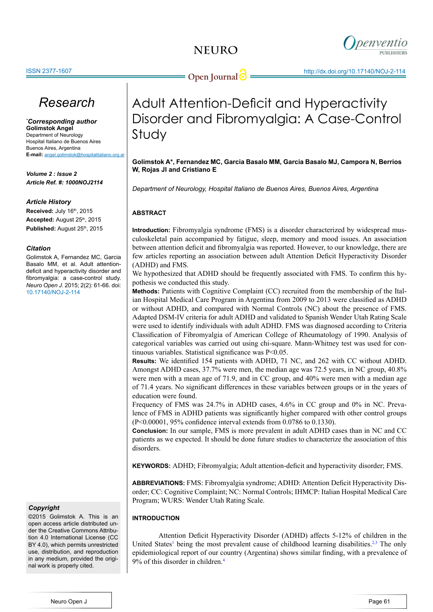

ISSN 2377-1607

**Open Journal**  $\bigcirc$  **http://dx.doi.org/10.17140/NOJ-2-114** 

# *Research*

*\* Corresponding author* **Golimstok Angel** Department of Neurology Hospital Italiano de Buenos Aires Buenos Aires, Argentina **E-mail:** angel.golimstok@hospitalitaliano.org.ar

*Volume 2 : Issue 2 Article Ref. #: 1000NOJ2114*

#### *Article History*

**Received:** July 16th, 2015 **Accepted:** August 25th, 2015 Published: August 25<sup>th</sup>, 2015

#### *Citation*

Golimstok A, Fernandez MC, Garcia Basalo MM, et al. Adult attentiondeficit and hyperactivity disorder and fibromyalgia: a case-control study. *Neuro Open J*. 2015; 2(2): 61-66. doi: [10.17140/NOJ-2-114](http://openventio.org/Volume2_Issue2/Adult_Attention_Deficit_and_Hyperactivity_Disorder_and_Fibromyalgia_A_Case_Control_Study_NOJ_2_114.pdf)

*Copyright*

©2015 Golimstok A. This is an open access article distributed under the Creative Commons Attribution 4.0 International License (CC BY 4.0), which permits unrestricted use, distribution, and reproduction in any medium, provided the original work is properly cited.

# Adult Attention-Deficit and Hyperactivity Disorder and Fibromyalgia: A Case-Control Study

**Golimstok A\*, Fernandez MC, Garcia Basalo MM, Garcia Basalo MJ, Campora N, Berrios W, Rojas JI and Cristiano E**

*Department of Neurology, Hospital Italiano de Buenos Aires, Buenos Aires, Argentina*

### **ABSTRACT**

**Introduction:** Fibromyalgia syndrome (FMS) is a disorder characterized by widespread musculoskeletal pain accompanied by fatigue, sleep, memory and mood issues. An association between attention deficit and fibromyalgia was reported. However, to our knowledge, there are few articles reporting an association between adult Attention Deficit Hyperactivity Disorder (ADHD) and FMS.

We hypothesized that ADHD should be frequently associated with FMS. To confirm this hypothesis we conducted this study.

**Methods:** Patients with Cognitive Complaint (CC) recruited from the membership of the Italian Hospital Medical Care Program in Argentina from 2009 to 2013 were classified as ADHD or without ADHD, and compared with Normal Controls (NC) about the presence of FMS. Adapted DSM-IV criteria for adult ADHD and validated to Spanish Wender Utah Rating Scale were used to identify individuals with adult ADHD. FMS was diagnosed according to Criteria Classification of Fibromyalgia of American College of Rheumatology of 1990. Analysis of categorical variables was carried out using chi-square. Mann-Whitney test was used for continuous variables. Statistical significance was P<0.05.

**Results:** We identified 154 patients with ADHD, 71 NC, and 262 with CC without ADHD. Amongst ADHD cases, 37.7% were men, the median age was 72.5 years, in NC group, 40.8% were men with a mean age of 71.9, and in CC group, and 40% were men with a median age of 71.4 years. No significant differences in these variables between groups or in the years of education were found.

Frequency of FMS was 24.7% in ADHD cases, 4.6% in CC group and 0% in NC. Prevalence of FMS in ADHD patients was significantly higher compared with other control groups (P<0.00001, 95% confidence interval extends from 0.0786 to 0.1330).

**Conclusion:** In our sample, FMS is more prevalent in adult ADHD cases than in NC and CC patients as we expected. It should be done future studies to characterize the association of this disorders.

**KEYWORDS:** ADHD; Fibromyalgia; Adult attention-deficit and hyperactivity disorder; FMS.

**ABBREVIATIONS:** FMS: Fibromyalgia syndrome; ADHD: Attention Deficit Hyperactivity Disorder; CC: Cognitive Complaint; NC: Normal Controls; IHMCP: Italian Hospital Medical Care Program; WURS: Wender Utah Rating Scale.

### **INTRODUCTION**

Attention Deficit Hyperactivity Disorder (ADHD) affects 5-12% of children in the United States<sup>[1](#page-3-0)</sup> being the most prevalent cause of childhood learning disabilities.<sup>[2,3](#page-3-1)</sup> The only epidemiological report of our country (Argentina) shows similar finding, with a prevalence of 9% of this disorder in children[.4](#page-3-2)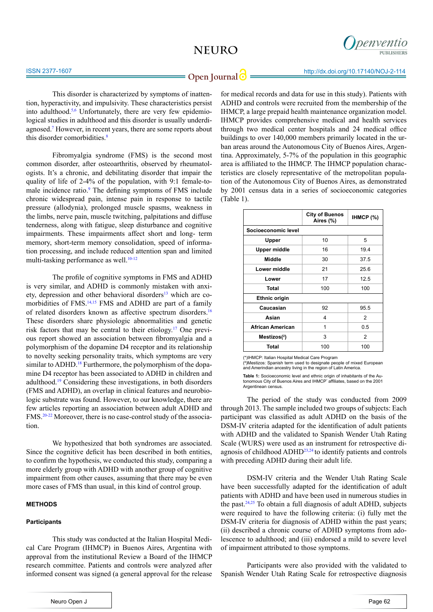

**Open Journal**  $\bigcirc$  **http://dx.doi.org/10.17140/NOJ-2-114** 

This disorder is characterized by symptoms of inattention, hyperactivity, and impulsivity. These characteristics persist into adulthood.<sup>[5,6](#page-3-3)</sup> Unfortunately, there are very few epidemiological studies in adulthood and this disorder is usually underdiagnosed.[7](#page-4-0) However, in recent years, there are some reports about this disorder comorbidities.<sup>[8](#page-4-1)</sup>

Fibromyalgia syndrome (FMS) is the second most common disorder, after osteoarthritis, observed by rheumatologists. It's a chronic, and debilitating disorder that impair the quality of life of 2-4% of the population, with 9:1 female-to-male incidence ratio.<sup>[9](#page-4-2)</sup> The defining symptoms of FMS include chronic widespread pain, intense pain in response to tactile pressure (allodynia), prolonged muscle spasms, weakness in the limbs, nerve pain, muscle twitching, palpitations and diffuse tenderness, along with fatigue, sleep disturbance and cognitive impairments. These impairments affect short and long- term memory, short-term memory consolidation, speed of information processing, and include reduced attention span and limited multi-tasking performance as well.<sup>[10-12](#page-4-3)</sup>

The profile of cognitive symptoms in FMS and ADHD is very similar, and ADHD is commonly mistaken with anxiety, depression and other behavioral disorders<sup>13</sup> which are comorbidities of FMS.<sup>14,15</sup> FMS and ADHD are part of a family of related disorders known as affective spectrum disorders.<sup>[16](#page-4-6)</sup> These disorders share physiologic abnormalities and genetic risk factors that may be central to their etiology.[17](#page-4-7) One previous report showed an association between fibromyalgia and a polymorphism of the dopamine D4 receptor and its relationship to novelty seeking personality traits, which symptoms are very similar to ADHD.<sup>[18](#page-4-8)</sup> Furthermore, the polymorphism of the dopamine D4 receptor has been associated to ADHD in children and adulthood.[19](#page-4-9) Considering these investigations, in both disorders (FMS and ADHD), an overlap in clinical features and neurobiologic substrate was found. However, to our knowledge, there are few articles reporting an association between adult ADHD and FMS.<sup>[20-22](#page-4-10)</sup> Moreover, there is no case-control study of the association.

We hypothesized that both syndromes are associated. Since the cognitive deficit has been described in both entities, to confirm the hypothesis, we conducted this study, comparing a more elderly group with ADHD with another group of cognitive impairment from other causes, assuming that there may be even more cases of FMS than usual, in this kind of control group.

#### **METHODS**

#### **Participants**

This study was conducted at the Italian Hospital Medical Care Program (IHMCP) in Buenos Aires, Argentina with approval from the institutional Review a Board of the IHMCP research committee. Patients and controls were analyzed after informed consent was signed (a general approval for the release for medical records and data for use in this study). Patients with ADHD and controls were recruited from the membership of the IHMCP, a large prepaid health maintenance organization model. IHMCP provides comprehensive medical and health services through two medical center hospitals and 24 medical office buildings to over 140,000 members primarily located in the urban areas around the Autonomous City of Buenos Aires, Argentina. Approximately, 5-7% of the population in this geographic area is affiliated to the IHMCP. The IHMCP population characteristics are closely representative of the metropolitan population of the Autonomous City of Buenos Aires, as demonstrated by 2001 census data in a series of socioeconomic categories (Table 1).

|                         | <b>City of Buenos</b><br>Aires (%) | IHMCP (%) |  |  |  |
|-------------------------|------------------------------------|-----------|--|--|--|
| Socioeconomic level     |                                    |           |  |  |  |
| Upper                   | 10                                 | 5         |  |  |  |
| Upper middle            | 16                                 | 19.4      |  |  |  |
| Middle                  | 30                                 | 37.5      |  |  |  |
| Lower middle            | 21                                 | 25.6      |  |  |  |
| Lower                   | 17                                 | 12.5      |  |  |  |
| Total                   | 100                                | 100       |  |  |  |
| Ethnic origin           |                                    |           |  |  |  |
| Caucasian               | 92                                 | 95.5      |  |  |  |
| Asian                   | 4                                  | 2         |  |  |  |
| <b>African American</b> | 1                                  | 0.5       |  |  |  |
| Mestizos $(2)$          | 3                                  | 2         |  |  |  |
| Total                   | 100                                | 100       |  |  |  |

(\*)IHMCP: Italian Hospital Medical Care Program

(²)Mestizos: Spanish term used to designate people of mixed European and Amerindian ancestry living in the region of Latin America.

**Table 1:** Socioeconomic level and ethnic origin of inhabitants of the Autonomous City of Buenos Aires and IHMCP\* affiliates, based on the 2001 Argentinean census.

The period of the study was conducted from 2009 through 2013. The sample included two groups of subjects: Each participant was classified as adult ADHD on the basis of the DSM-IV criteria adapted for the identification of adult patients with ADHD and the validated to Spanish Wender Utah Rating Scale (WURS) were used as an instrument for retrospective di-agnosis of childhood ADHD<sup>[23,24](#page-4-11)</sup> to identify patients and controls with preceding ADHD during their adult life.

DSM-IV criteria and the Wender Utah Rating Scale have been successfully adapted for the identification of adult patients with ADHD and have been used in numerous studies in the past. $24,25$  To obtain a full diagnosis of adult ADHD, subjects were required to have the following criteria: (i) fully met the DSM-IV criteria for diagnosis of ADHD within the past years; (ii) described a chronic course of ADHD symptoms from adolescence to adulthood; and (iii) endorsed a mild to severe level of impairment attributed to those symptoms.

Participants were also provided with the validated to Spanish Wender Utah Rating Scale for retrospective diagnosis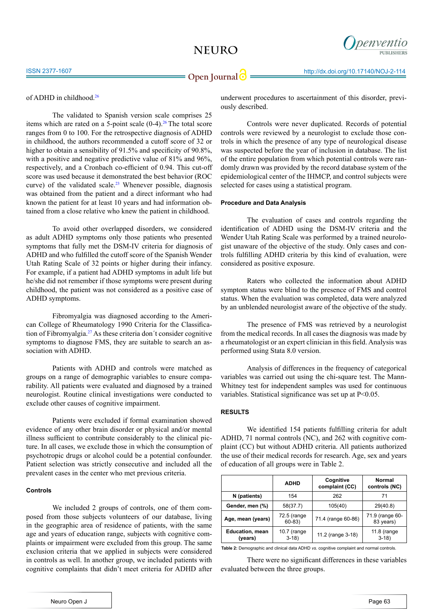of ADHD in childhood[.26](#page-4-13)

The validated to Spanish version scale comprises 25 items which are rated on a 5-point scale  $(0-4)$ .<sup>[26](#page-4-13)</sup> The total score ranges from 0 to 100. For the retrospective diagnosis of ADHD in childhood, the authors recommended a cutoff score of 32 or higher to obtain a sensibility of 91.5% and specificity of 90.8%, with a positive and negative predictive value of 81% and 96%. respectively, and a Cronbach co-efficient of 0.94. This cut-off score was used because it demonstrated the best behavior (ROC curve) of the validated scale.<sup>23</sup> Whenever possible, diagnosis was obtained from the patient and a direct informant who had known the patient for at least 10 years and had information obtained from a close relative who knew the patient in childhood.

To avoid other overlapped disorders, we considered as adult ADHD symptoms only those patients who presented symptoms that fully met the DSM-IV criteria for diagnosis of ADHD and who fulfilled the cutoff score of the Spanish Wender Utah Rating Scale of 32 points or higher during their infancy. For example, if a patient had ADHD symptoms in adult life but he/she did not remember if those symptoms were present during childhood, the patient was not considered as a positive case of ADHD symptoms.

Fibromyalgia was diagnosed according to the American College of Rheumatology 1990 Criteria for the Classification of Fibromyalgia.[27](#page-4-14) As these criteria don´t consider cognitive symptoms to diagnose FMS, they are suitable to search an association with ADHD.

Patients with ADHD and controls were matched as groups on a range of demographic variables to ensure comparability. All patients were evaluated and diagnosed by a trained neurologist. Routine clinical investigations were conducted to exclude other causes of cognitive impairment.

Patients were excluded if formal examination showed evidence of any other brain disorder or physical and/or mental illness sufficient to contribute considerably to the clinical picture. In all cases, we exclude those in which the consumption of psychotropic drugs or alcohol could be a potential confounder. Patient selection was strictly consecutive and included all the prevalent cases in the center who met previous criteria.

#### **Controls**

We included 2 groups of controls, one of them composed from those subjects volunteers of our database, living in the geographic area of residence of patients, with the same age and years of education range, subjects with cognitive complaints or impairment were excluded from this group. The same exclusion criteria that we applied in subjects were considered in controls as well. In another group, we included patients with cognitive complaints that didn't meet criteria for ADHD after underwent procedures to ascertainment of this disorder, previously described.

Controls were never duplicated. Records of potential controls were reviewed by a neurologist to exclude those controls in which the presence of any type of neurological disease was suspected before the year of inclusion in database. The list of the entire population from which potential controls were randomly drawn was provided by the record database system of the epidemiological center of the IHMCP, and control subjects were selected for cases using a statistical program.

#### **Procedure and Data Analysis**

The evaluation of cases and controls regarding the identification of ADHD using the DSM-IV criteria and the Wender Utah Rating Scale was performed by a trained neurologist unaware of the objective of the study. Only cases and controls fulfilling ADHD criteria by this kind of evaluation, were considered as positive exposure.

Raters who collected the information about ADHD symptom status were blind to the presence of FMS and control status. When the evaluation was completed, data were analyzed by an unblended neurologist aware of the objective of the study.

The presence of FMS was retrieved by a neurologist from the medical records. In all cases the diagnosis was made by a rheumatologist or an expert clinician in this field. Analysis was performed using Stata 8.0 version.

Analysis of differences in the frequency of categorical variables was carried out using the chi-square test. The Mann-Whitney test for independent samples was used for continuous variables. Statistical significance was set up at P<0.05.

#### **RESULTS**

We identified 154 patients fulfilling criteria for adult ADHD, 71 normal controls (NC), and 262 with cognitive complaint (CC) but without ADHD criteria. All patients authorized the use of their medical records for research. Age, sex and years of education of all groups were in Table 2.

|                                   | <b>ADHD</b>              | Cognitive<br>complaint (CC) | Normal<br>controls (NC)      |
|-----------------------------------|--------------------------|-----------------------------|------------------------------|
| N (patients)                      | 154                      | 262                         | 71                           |
| Gender, men (%)                   | 58(37.7)                 | 105(40)                     | 29(40.8)                     |
| Age, mean (years)                 | 72.5 (range<br>$60 - 83$ | 71.4 (range 60-86)          | 71.9 (range 60-<br>83 years) |
| <b>Education, mean</b><br>(years) | 10.7 (range<br>$3-18$    | 11.2 (range 3-18)           | $11.8$ (range<br>$3-18$      |

**Table 2:** Demographic and clinical data ADHD *vs.* cognitive complaint and normal controls.

There were no significant differences in these variables evaluated between the three groups.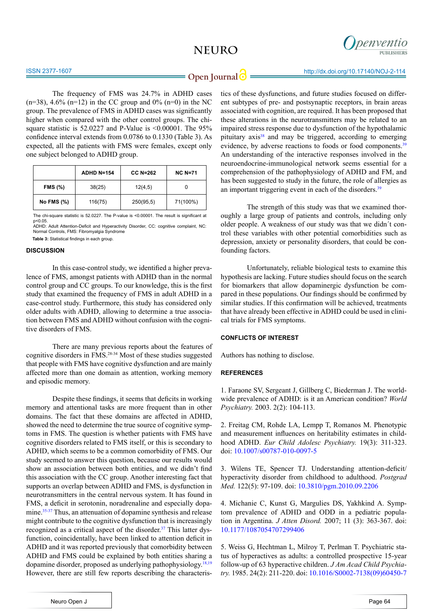

PURLISHER!

# **Open Journal**  $\bigcirc$  **http://dx.doi.org/10.17140/NOJ-2-114**

The frequency of FMS was 24.7% in ADHD cases  $(n=38)$ , 4.6%  $(n=12)$  in the CC group and 0%  $(n=0)$  in the NC group. The prevalence of FMS in ADHD cases was significantly higher when compared with the other control groups. The chisquare statistic is  $52.0227$  and P-Value is  $\leq 0.00001$ . The 95% confidence interval extends from 0.0786 to 0.1330 (Table 3). As expected, all the patients with FMS were females, except only one subject belonged to ADHD group.

|                   | ADHD N=154 | $CC$ N=262 | <b>NC N=71</b> |
|-------------------|------------|------------|----------------|
| <b>FMS (%)</b>    | 38(25)     | 12(4,5)    |                |
| <b>No FMS (%)</b> | 116(75)    | 250(95,5)  | 71(100%)       |

The chi-square statistic is 52.0227. The P-value is <0.00001. The result is significant at p<0.05. ADHD: Adult Attention-Deficit and Hyperactivity Disorder, CC: cognitive complaint, NC:

Normal Controls, FMS: Fibromyalgia Syndrome **Table 3:** Statistical findings in each group.

#### **DISCUSSION**

In this case-control study, we identified a higher prevalence of FMS, amongst patients with ADHD than in the normal control group and CC groups. To our knowledge, this is the first study that examined the frequency of FMS in adult ADHD in a case-control study. Furthermore, this study has considered only older adults with ADHD, allowing to determine a true association between FMS and ADHD without confusion with the cognitive disorders of FMS.

There are many previous reports about the features of cognitive disorders in FMS.28-34 Most of these studies suggested that people with FMS have cognitive dysfunction and are mainly affected more than one domain as attention, working memory and episodic memory.

Despite these findings, it seems that deficits in working memory and attentional tasks are more frequent than in other domains. The fact that these domains are affected in ADHD, showed the need to determine the true source of cognitive symptoms in FMS. The question is whether patients with FMS have cognitive disorders related to FMS itself, or this is secondary to ADHD, which seems to be a common comorbidity of FMS. Our study seemed to answer this question, because our results would show an association between both entities, and we didn't find this association with the CC group. Another interesting fact that supports an overlap between ADHD and FMS, is dysfunction in neurotransmitters in the central nervous system. It has found in FMS, a deficit in serotonin, noradrenaline and especially dopamine.[35-37](#page-5-0) Thus, an attenuation of dopamine synthesis and release might contribute to the cognitive dysfunction that is increasingly recognized as a critical aspect of the disorder.<sup>[37](#page-5-1)</sup> This latter dysfunction, coincidentally, have been linked to attention deficit in ADHD and it was reported previously that comorbidity between ADHD and FMS could be explained by both entities sharing a dopamine disorder, proposed as underlying pathophysiology.[18,19](#page-4-8) However, there are still few reports describing the characteristics of these dysfunctions, and future studies focused on different subtypes of pre- and postsynaptic receptors, in brain areas associated with cognition, are required. It has been proposed that these alterations in the neurotransmitters may be related to an impaired stress response due to dysfunction of the hypothalamic pituitary  $axis^{38}$  and may be triggered, according to emerging evidence, by adverse reactions to foods or food components.<sup>39</sup> An understanding of the interactive responses involved in the neuroendocrine-immunological network seems essential for a comprehension of the pathophysiology of ADHD and FM, and has been suggested to study in the future, the role of allergies as an important triggering event in each of the disorders.<sup>[39](#page-5-3)</sup>

The strength of this study was that we examined thoroughly a large group of patients and controls, including only older people. A weakness of our study was that we didn´t control these variables with other potential comorbidities such as depression, anxiety or personality disorders, that could be confounding factors.

Unfortunately, reliable biological tests to examine this hypothesis are lacking. Future studies should focus on the search for biomarkers that allow dopaminergic dysfunction be compared in these populations. Our findings should be confirmed by similar studies. If this confirmation will be achieved, treatments that have already been effective in ADHD could be used in clinical trials for FMS symptoms.

#### **CONFLICTS OF INTEREST**

Authors has nothing to disclose.

#### **REFERENCES**

<span id="page-3-0"></span>1. Faraone SV, Sergeant J, Gillberg C, Biederman J. The worldwide prevalence of ADHD: is it an American condition? *World Psychiatry.* 2003. 2(2): 104-113.

<span id="page-3-1"></span>2. Freitag CM, Rohde LA, Lempp T, Romanos M. Phenotypic and measurement influences on heritability estimates in childhood ADHD. *Eur Child Adolesc Psychiatry.* 19(3): 311-323. doi: [10.1007/s00787-010-0097-5](http://www.ncbi.nlm.nih.gov/pubmed/20213230)

3. Wilens TE, Spencer TJ. Understanding attention-deficit/ hyperactivity disorder from childhood to adulthood. *Postgrad Med.* 122(5): 97-109. doi: [10.3810/pgm.2010.09.2206](http://www.ncbi.nlm.nih.gov/pubmed/20861593)

<span id="page-3-2"></span>4. Michanie C, Kunst G, Margulies DS, Yakhkind A. Symptom prevalence of ADHD and ODD in a pediatric population in Argentina. *J Atten Disord.* 2007; 11 (3): 363-367. doi: [10.1177/1087054707299406](http://jad.sagepub.com/content/11/3/363.long)

<span id="page-3-3"></span>5. Weiss G, Hechtman L, Milroy T, Perlman T. Psychiatric status of hyperactives as adults: a controlled prospective 15-year follow-up of 63 hyperactive children. *J Am Acad Child Psychiatry.* 1985. 24(2): 211-220. doi: [10.1016/S0002-7138\(09\)60450-7](http://www.sciencedirect.com/science/article/pii/S0002713809604507)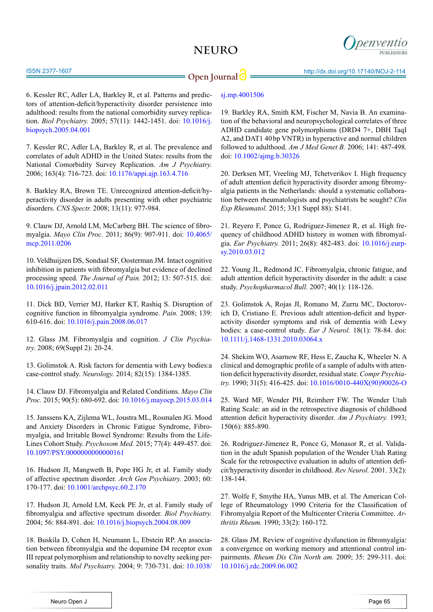

ISSN 2377-1607

6. Kessler RC, Adler LA, Barkley R, et al. Patterns and predictors of attention-deficit/hyperactivity disorder persistence into adulthood: results from the national comorbidity survey replication. *Biol Psychiatry.* 2005; 57(11): 1442-1451. doi: [10.1016/j.](http://www.ncbi.nlm.nih.gov/pmc/articles/PMC2847347/) [biopsych.2005.04.001](http://www.ncbi.nlm.nih.gov/pmc/articles/PMC2847347/)

<span id="page-4-0"></span>7. Kessler RC, Adler LA, Barkley R, et al. The prevalence and correlates of adult ADHD in the United States: results from the National Comorbidity Survey Replication. *Am J Psychiatry.* 2006; 163(4): 716-723. doi: [10.1176/appi.ajp.163.4.716](http://www.ncbi.nlm.nih.gov/pmc/articles/PMC2859678/)

<span id="page-4-1"></span>8. Barkley RA, Brown TE. Unrecognized attention-deficit/hyperactivity disorder in adults presenting with other psychiatric disorders. *CNS Spectr.* 2008; 13(11): 977-984.

<span id="page-4-2"></span>9. Clauw DJ, Arnold LM, McCarberg BH. The science of fibromyalgia. *Mayo Clin Proc.* 2011; 86(9): 907-911. doi: [10.4065/](http://www.ncbi.nlm.nih.gov/pubmed/21878603) [mcp.2011.0206](http://www.ncbi.nlm.nih.gov/pubmed/21878603)

<span id="page-4-3"></span>10. Veldhuijzen DS, Sondaal SF, Oosterman JM. Intact cognitive inhibition in patients with fibromyalgia but evidence of declined processing speed. *The Journal of Pain.* 2012; 13: 507-515. doi: [10.1016/j.jpain.2012.02.011](http://www.ncbi.nlm.nih.gov/pubmed/22564673)

11. Dick BD, Verrier MJ, Harker KT, Rashiq S. Disruption of cognitive function in fibromyalgia syndrome. *Pain.* 2008; 139: 610-616. doi: [10.1016/j.pain.2008.06.017](http://www.ncbi.nlm.nih.gov/pubmed/18691816)

12. Glass JM. Fibromyalgia and cognition. *J Clin Psychiatry.* 2008; 69(Suppl 2): 20-24.

<span id="page-4-4"></span>13. Golimstok A. [Risk factors for dementia with Lewy bodies:a](http://www.ncbi.nlm.nih.gov/pubmed/24733859)  [case-control study.](http://www.ncbi.nlm.nih.gov/pubmed/24733859) *Neurology.* 2014; 82(15): 1384-1385.

<span id="page-4-5"></span>14. Clauw DJ. [Fibromyalgia and Related Conditions.](http://www.ncbi.nlm.nih.gov/pubmed/25939940) *Mayo Clin Proc.* 2015; 90(5): 680-692. doi: [10.1016/j.mayocp.2015.03.014](http://www.mayoclinicproceedings.org/article/S0025-6196%2815%2900243-8/abstract)

15. Janssens KA, Zijlema WL, Joustra ML, Rosmalen JG. [Mood](http://www.ncbi.nlm.nih.gov/pubmed/25768845)  [and Anxiety Disorders in Chronic Fatigue Syndrome, Fibro](http://www.ncbi.nlm.nih.gov/pubmed/25768845)[myalgia, and Irritable Bowel Syndrome: Results from the Life](http://www.ncbi.nlm.nih.gov/pubmed/25768845)-[Lines Cohort Study.](http://www.ncbi.nlm.nih.gov/pubmed/25768845) *Psychosom Med.* 2015; 77(4): 449-457. doi: [10.1097/PSY.0000000000000161](http://www.ncbi.nlm.nih.gov/pubmed/25768845)

<span id="page-4-6"></span>16. Hudson JI, Mangweth B, Pope HG Jr, et al. Family study of affective spectrum disorder. *Arch Gen Psychiatry.* 2003; 60: 170-177. doi: [10.1001/archpsyc.60.2.170](http://archpsyc.jamanetwork.com/article.aspx%3Farticleid%3D207153)

<span id="page-4-7"></span>17. Hudson JI, Arnold LM, Keck PE Jr, et al. Family study of fibromyalgia and affective spectrum disorder. *Biol Psychiatry.*  2004; 56: 884-891. doi: [10.1016/j.biopsych.2004.08.009](http://www.biologicalpsychiatryjournal.com/article/S0006-3223%2804%2900895-9/abstract)

<span id="page-4-8"></span>18. Buskila D, Cohen H, Neumann L, Ebstein RP. An association between fibromyalgia and the dopamine D4 receptor exon III repeat polymorphism and relationship to novelty seeking personality traits. *Mol Psychiatry.* 2004; 9: 730-731. doi: [10.1038/](http://www.nature.com/mp/journal/v9/n8/full/4001506a.html)

#### [sj.mp.4001506](http://www.nature.com/mp/journal/v9/n8/full/4001506a.html)

<span id="page-4-9"></span>19. Barkley RA, Smith KM, Fischer M, Navia B. An examination of the behavioral and neuropsychological correlates of three ADHD candidate gene polymorphisms (DRD4 7+, DBH TaqI A2, and DAT1 40 bp VNTR) in hyperactive and normal children followed to adulthood. *Am J Med Genet B.* 2006; 141: 487-498. doi: [10.1002/ajmg.b.30326](http://onlinelibrary.wiley.com/doi/10.1002/ajmg.b.30326/abstract)

<span id="page-4-10"></span>20. Derksen MT, Vreeling MJ, Tchetverikov I. High frequency of adult attention deficit hyperactivity disorder among fibromyalgia patients in the Netherlands: should a systematic collaboration between rheumatologists and psychiatrists be sought? *Clin Exp Rheumatol.* 2015; 33(1 Suppl 88): S141.

21. Reyero F, Ponce G, Rodriguez-Jimenez R, et al. High frequency of childhood ADHD history in women with fibromyalgia. *Eur Psychiatry.* 2011; 26(8): 482-483. doi: [10.1016/j.eurp](http://www.ncbi.nlm.nih.gov/pubmed/20620028)[sy.2010.03.012](http://www.ncbi.nlm.nih.gov/pubmed/20620028) 

22. Young JL, Redmond JC. Fibromyalgia, chronic fatigue, and adult attention deficit hyperactivity disorder in the adult: a case study. *Psychopharmacol Bull.* 2007; 40(1): 118-126.

<span id="page-4-11"></span>23. Golimstok A, Rojas JI, Romano M, Zurru MC, Doctorovich D, Cristiano E. Previous adult attention-deficit and hyperactivity disorder symptoms and risk of dementia with Lewy bodies: a case-control study. *Eur J Neurol.* 18(1): 78-84. doi: [10.1111/j.1468-1331.2010.03064.x](http://www.ncbi.nlm.nih.gov/pubmed/20491888) 

<span id="page-4-12"></span>24. Shekim WO, Asarnow RF, Hess E, Zaucha K, Wheeler N. A clinical and demographic profile of a sample of adults with attention deficit hyperactivity disorder, residual state. *Compr Psychiatry.* 1990; 31(5): 416-425. doi: [10.1016/0010-440X\(90\)90026-O](http://www.sciencedirect.com/science/article/pii/0010440X9090026O)

25. Ward MF, Wender PH, Reimherr FW. The Wender Utah Rating Scale: an aid in the retrospective diagnosis of childhood attention deficit hyperactivity disorder. *Am J Psychiatry.* 1993; 150(6): 885-890.

<span id="page-4-13"></span>26. Rodriguez-Jimenez R, Ponce G, Monasor R, et al. Validation in the adult Spanish population of the Wender Utah Rating Scale for the retrospective evaluation in adults of attention deficit/hyperactivity disorder in childhood. *Rev Neurol.* 2001. 33(2): 138-144.

<span id="page-4-14"></span>27. Wolfe F, Smythe HA, Yunus MB, et al. The American College of Rheumatology 1990 Criteria for the Classification of Fibromyalgia Report of the Multicenter Criteria Committee. *Arthritis Rheum.* 1990; 33(2): 160-172.

28. Glass JM. Review of cognitive dysfunction in fibromyalgia: a convergence on working memory and attentional control impairments. *Rheum Dis Clin North am.* 2009; 35: 299-311. doi: [10.1016/j.rdc.2009.06.002](http://www.ncbi.nlm.nih.gov/pubmed/19647144)